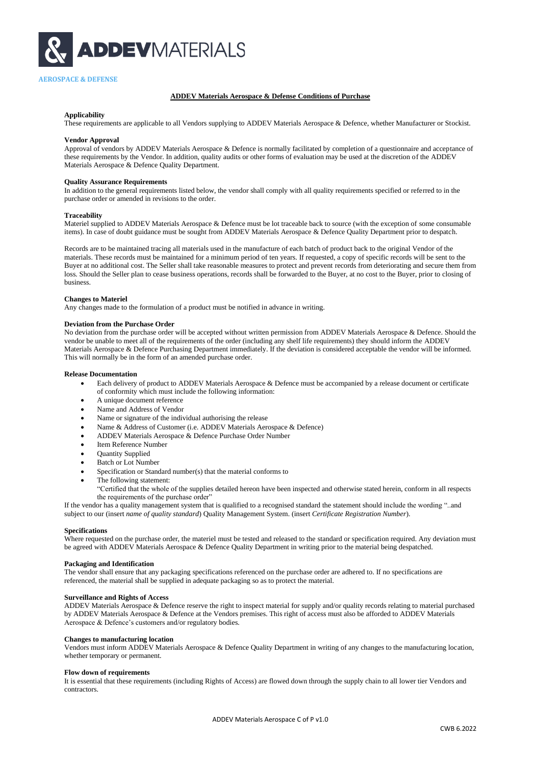

## **ADDEV Materials Aerospace & Defense Conditions of Purchase**

#### **Applicability**

These requirements are applicable to all Vendors supplying to ADDEV Materials Aerospace & Defence, whether Manufacturer or Stockist.

#### **Vendor Approval**

Approval of vendors by ADDEV Materials Aerospace & Defence is normally facilitated by completion of a questionnaire and acceptance of these requirements by the Vendor. In addition, quality audits or other forms of evaluation may be used at the discretion of the ADDEV Materials Aerospace & Defence Quality Department.

#### **Quality Assurance Requirements**

In addition to the general requirements listed below, the vendor shall comply with all quality requirements specified or referred to in the purchase order or amended in revisions to the order.

#### **Traceability**

Materiel supplied to ADDEV Materials Aerospace & Defence must be lot traceable back to source (with the exception of some consumable items). In case of doubt guidance must be sought from ADDEV Materials Aerospace & Defence Quality Department prior to despatch.

Records are to be maintained tracing all materials used in the manufacture of each batch of product back to the original Vendor of the materials. These records must be maintained for a minimum period of ten years. If requested, a copy of specific records will be sent to the Buyer at no additional cost. The Seller shall take reasonable measures to protect and prevent records from deteriorating and secure them from loss. Should the Seller plan to cease business operations, records shall be forwarded to the Buyer, at no cost to the Buyer, prior to closing of business.

## **Changes to Materiel**

Any changes made to the formulation of a product must be notified in advance in writing.

### **Deviation from the Purchase Order**

No deviation from the purchase order will be accepted without written permission from ADDEV Materials Aerospace & Defence. Should the vendor be unable to meet all of the requirements of the order (including any shelf life requirements) they should inform the ADDEV Materials Aerospace & Defence Purchasing Department immediately. If the deviation is considered acceptable the vendor will be informed. This will normally be in the form of an amended purchase order.

#### **Release Documentation**

- Each delivery of product to ADDEV Materials Aerospace & Defence must be accompanied by a release document or certificate of conformity which must include the following information:
- A unique document reference
- Name and Address of Vendor
- Name or signature of the individual authorising the release
- Name & Address of Customer (i.e. ADDEV Materials Aerospace & Defence)
- ADDEV Materials Aerospace & Defence Purchase Order Number
- Item Reference Number
- Quantity Supplied
- Batch or Lot Number
- Specification or Standard number(s) that the material conforms to
- The following statement:

"Certified that the whole of the supplies detailed hereon have been inspected and otherwise stated herein, conform in all respects the requirements of the purchase order"

If the vendor has a quality management system that is qualified to a recognised standard the statement should include the wording "..and subject to our (insert *name of quality standard*) Quality Management System. (insert *Certificate Registration Number*).

#### **Specifications**

Where requested on the purchase order, the materiel must be tested and released to the standard or specification required. Any deviation must be agreed with ADDEV Materials Aerospace & Defence Quality Department in writing prior to the material being despatched.

#### **Packaging and Identification**

The vendor shall ensure that any packaging specifications referenced on the purchase order are adhered to. If no specifications are referenced, the material shall be supplied in adequate packaging so as to protect the material.

### **Surveillance and Rights of Access**

ADDEV Materials Aerospace & Defence reserve the right to inspect material for supply and/or quality records relating to material purchased by ADDEV Materials Aerospace & Defence at the Vendors premises. This right of access must also be afforded to ADDEV Materials Aerospace & Defence's customers and/or regulatory bodies.

## **Changes to manufacturing location**

Vendors must inform ADDEV Materials Aerospace & Defence Quality Department in writing of any changes to the manufacturing location, whether temporary or permanent.

# **Flow down of requirements**

It is essential that these requirements (including Rights of Access) are flowed down through the supply chain to all lower tier Vendors and contractors.